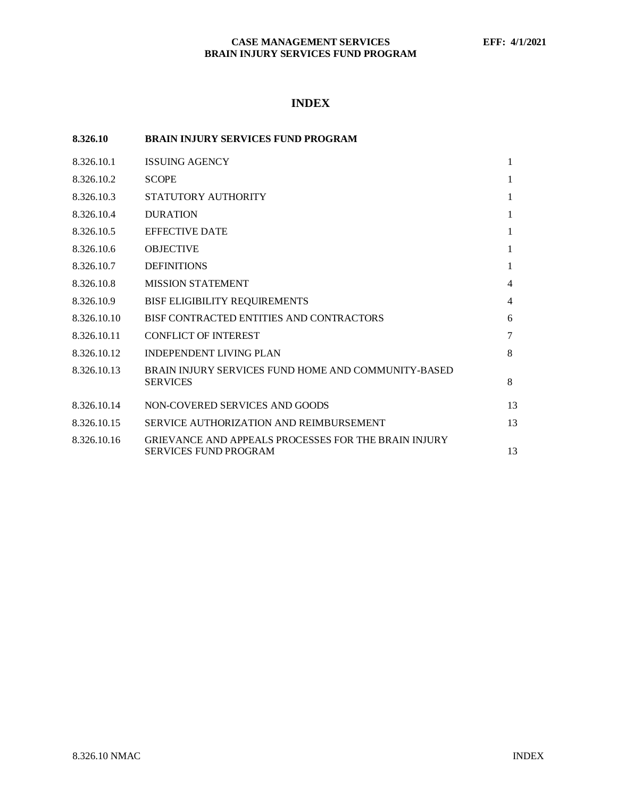# **INDEX**

| 8.326.10    | <b>BRAIN INJURY SERVICES FUND PROGRAM</b>                                            |    |
|-------------|--------------------------------------------------------------------------------------|----|
| 8.326.10.1  | <b>ISSUING AGENCY</b>                                                                | 1  |
| 8.326.10.2  | <b>SCOPE</b>                                                                         | 1  |
| 8.326.10.3  | STATUTORY AUTHORITY                                                                  | 1  |
| 8.326.10.4  | <b>DURATION</b>                                                                      | 1  |
| 8.326.10.5  | <b>EFFECTIVE DATE</b>                                                                | 1  |
| 8.326.10.6  | <b>OBJECTIVE</b>                                                                     | 1  |
| 8.326.10.7  | <b>DEFINITIONS</b>                                                                   | 1  |
| 8.326.10.8  | <b>MISSION STATEMENT</b>                                                             | 4  |
| 8.326.10.9  | <b>BISF ELIGIBILITY REQUIREMENTS</b>                                                 | 4  |
| 8.326.10.10 | BISF CONTRACTED ENTITIES AND CONTRACTORS                                             | 6  |
| 8.326.10.11 | <b>CONFLICT OF INTEREST</b>                                                          | 7  |
| 8.326.10.12 | <b>INDEPENDENT LIVING PLAN</b>                                                       | 8  |
| 8.326.10.13 | BRAIN INJURY SERVICES FUND HOME AND COMMUNITY-BASED<br><b>SERVICES</b>               | 8  |
| 8.326.10.14 | NON-COVERED SERVICES AND GOODS                                                       | 13 |
| 8.326.10.15 | SERVICE AUTHORIZATION AND REIMBURSEMENT                                              | 13 |
| 8.326.10.16 | GRIEVANCE AND APPEALS PROCESSES FOR THE BRAIN INJURY<br><b>SERVICES FUND PROGRAM</b> | 13 |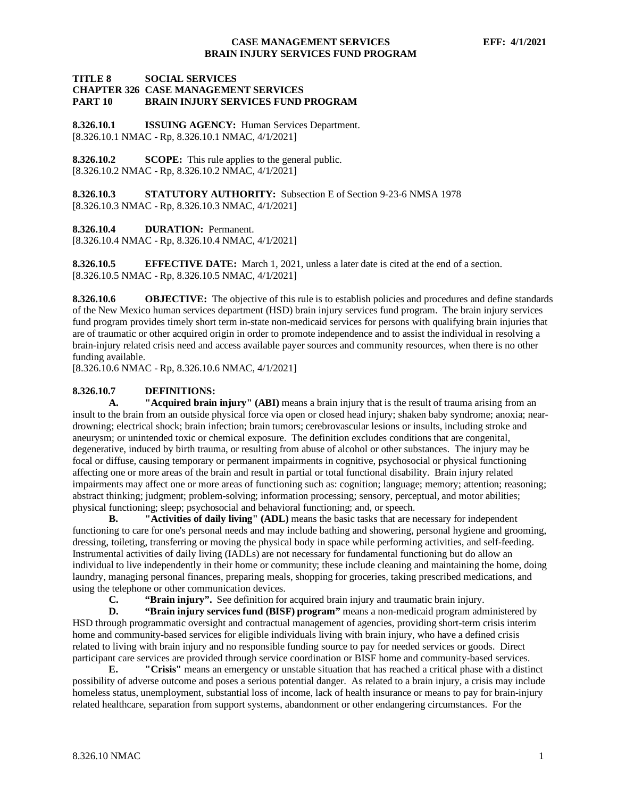#### **TITLE 8 SOCIAL SERVICES CHAPTER 326 CASE MANAGEMENT SERVICES BRAIN INJURY SERVICES FUND PROGRAM**

<span id="page-1-0"></span>**8.326.10.1 ISSUING AGENCY:** Human Services Department. [8.326.10.1 NMAC - Rp, 8.326.10.1 NMAC, 4/1/2021]

<span id="page-1-1"></span>**8.326.10.2 SCOPE:** This rule applies to the general public. [8.326.10.2 NMAC - Rp, 8.326.10.2 NMAC, 4/1/2021]

<span id="page-1-2"></span>**8.326.10.3 STATUTORY AUTHORITY:** Subsection E of Section 9-23-6 NMSA 1978 [8.326.10.3 NMAC - Rp, 8.326.10.3 NMAC, 4/1/2021]

<span id="page-1-3"></span>**8.326.10.4 DURATION:** Permanent.

[8.326.10.4 NMAC - Rp, 8.326.10.4 NMAC, 4/1/2021]

<span id="page-1-4"></span>**8.326.10.5 EFFECTIVE DATE:** March 1, 2021, unless a later date is cited at the end of a section. [8.326.10.5 NMAC - Rp, 8.326.10.5 NMAC, 4/1/2021]

<span id="page-1-5"></span>**8.326.10.6 OBJECTIVE:** The objective of this rule is to establish policies and procedures and define standards of the New Mexico human services department (HSD) brain injury services fund program. The brain injury services fund program provides timely short term in-state non-medicaid services for persons with qualifying brain injuries that are of traumatic or other acquired origin in order to promote independence and to assist the individual in resolving a brain-injury related crisis need and access available payer sources and community resources, when there is no other funding available.

[8.326.10.6 NMAC - Rp, 8.326.10.6 NMAC, 4/1/2021]

### <span id="page-1-6"></span>**8.326.10.7 DEFINITIONS:**

**A. "Acquired brain injury" (ABI)** means a brain injury that is the result of trauma arising from an insult to the brain from an outside physical force via open or closed head injury; shaken baby syndrome; anoxia; neardrowning; electrical shock; brain infection; brain tumors; cerebrovascular lesions or insults, including stroke and aneurysm; or unintended toxic or chemical exposure. The definition excludes conditions that are congenital, degenerative, induced by birth trauma, or resulting from abuse of alcohol or other substances. The injury may be focal or diffuse, causing temporary or permanent impairments in cognitive, psychosocial or physical functioning affecting one or more areas of the brain and result in partial or total functional disability. Brain injury related impairments may affect one or more areas of functioning such as: cognition; language; memory; attention; reasoning; abstract thinking; judgment; problem-solving; information processing; sensory, perceptual, and motor abilities; physical functioning; sleep; psychosocial and behavioral functioning; and, or speech.

**B. "Activities of daily living" (ADL)** means the basic tasks that are necessary for independent functioning to care for one's personal needs and may include bathing and showering, personal hygiene and grooming, dressing, toileting, transferring or moving the physical body in space while performing activities, and self-feeding. Instrumental activities of daily living (IADLs) are not necessary for fundamental functioning but do allow an individual to live independently in their home or community; these include cleaning and maintaining the home, doing laundry, managing personal finances, preparing meals, shopping for groceries, taking prescribed medications, and using the telephone or other communication devices.<br> **C.** "Brain injury". See definition for

**"Brain injury".** See definition for acquired brain injury and traumatic brain injury.

**D. "Brain injury services fund (BISF) program"** means a non-medicaid program administered by HSD through programmatic oversight and contractual management of agencies, providing short-term crisis interim home and community-based services for eligible individuals living with brain injury, who have a defined crisis related to living with brain injury and no responsible funding source to pay for needed services or goods. Direct participant care services are provided through service coordination or BISF home and community-based services.

**E. "Crisis"** means an emergency or unstable situation that has reached a critical phase with a distinct possibility of adverse outcome and poses a serious potential danger. As related to a brain injury, a crisis may include homeless status, unemployment, substantial loss of income, lack of health insurance or means to pay for brain-injury related healthcare, separation from support systems, abandonment or other endangering circumstances. For the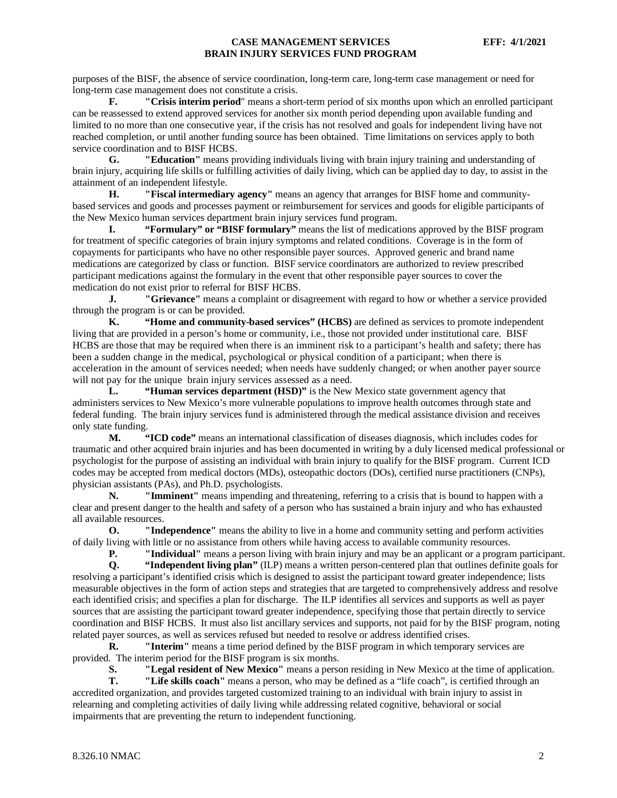purposes of the BISF, the absence of service coordination, long-term care, long-term case management or need for long-term case management does not constitute a crisis.

**F. "Crisis interim period**" means a short-term period of six months upon which an enrolled participant can be reassessed to extend approved services for another six month period depending upon available funding and limited to no more than one consecutive year, if the crisis has not resolved and goals for independent living have not reached completion, or until another funding source has been obtained. Time limitations on services apply to both service coordination and to BISF HCBS.

**G. "Education"** means providing individuals living with brain injury training and understanding of brain injury, acquiring life skills or fulfilling activities of daily living, which can be applied day to day, to assist in the attainment of an independent lifestyle.

**H. "Fiscal intermediary agency"** means an agency that arranges for BISF home and communitybased services and goods and processes payment or reimbursement for services and goods for eligible participants of the New Mexico human services department brain injury services fund program.

**I. "Formulary" or "BISF formulary"** means the list of medications approved by the BISF program for treatment of specific categories of brain injury symptoms and related conditions. Coverage is in the form of copayments for participants who have no other responsible payer sources. Approved generic and brand name medications are categorized by class or function. BISF service coordinators are authorized to review prescribed participant medications against the formulary in the event that other responsible payer sources to cover the medication do not exist prior to referral for BISF HCBS.

**J. "Grievance"** means a complaint or disagreement with regard to how or whether a service provided through the program is or can be provided.

**K. "Home and community-based services" (HCBS)** are defined as services to promote independent living that are provided in a person's home or community, i.e., those not provided under institutional care. BISF HCBS are those that may be required when there is an imminent risk to a participant's health and safety; there has been a sudden change in the medical, psychological or physical condition of a participant; when there is acceleration in the amount of services needed; when needs have suddenly changed; or when another payer source will not pay for the unique brain injury services assessed as a need.

**L. "Human services department (HSD)"** is the New Mexico state government agency that administers services to New Mexico's more vulnerable populations to improve health outcomes through state and federal funding. The brain injury services fund is administered through the medical assistance division and receives only state funding.

**M. "ICD code"** means an international classification of diseases diagnosis, which includes codes for traumatic and other acquired brain injuries and has been documented in writing by a duly licensed medical professional or psychologist for the purpose of assisting an individual with brain injury to qualify for the BISF program. Current ICD codes may be accepted from medical doctors (MDs), osteopathic doctors (DOs), certified nurse practitioners (CNPs), physician assistants (PAs), and Ph.D. psychologists.

**N. "Imminent"** means impending and threatening, referring to a crisis that is bound to happen with a clear and present danger to the health and safety of a person who has sustained a brain injury and who has exhausted all available resources.

**O. "Independence"** means the ability to live in a home and community setting and perform activities of daily living with little or no assistance from others while having access to available community resources.<br> **P. The interval of the contract of a strategy in the contract of a strategy of the contract of a program** 

**P. "Individual"** means a person living with brain injury and may be an applicant or a program participant.<br>**Q. "Independent living plan"** (ILP) means a written person-centered plan that outlines definite goals for

**Q. "Independent living plan"** (ILP) means a written person-centered plan that outlines definite goals for resolving a participant's identified crisis which is designed to assist the participant toward greater independence; lists measurable objectives in the form of action steps and strategies that are targeted to comprehensively address and resolve each identified crisis; and specifies a plan for discharge. The ILP identifies all services and supports as well as payer sources that are assisting the participant toward greater independence, specifying those that pertain directly to service coordination and BISF HCBS. It must also list ancillary services and supports, not paid for by the BISF program, noting related payer sources, as well as services refused but needed to resolve or address identified crises.

**R. "Interim"** means a time period defined by the BISF program in which temporary services are provided. The interim period for the BISF program is six months.

**S. "Legal resident of New Mexico"** means a person residing in New Mexico at the time of application.

**T. "Life skills coach"** means a person, who may be defined as a "life coach", is certified through an accredited organization, and provides targeted customized training to an individual with brain injury to assist in relearning and completing activities of daily living while addressing related cognitive, behavioral or social impairments that are preventing the return to independent functioning.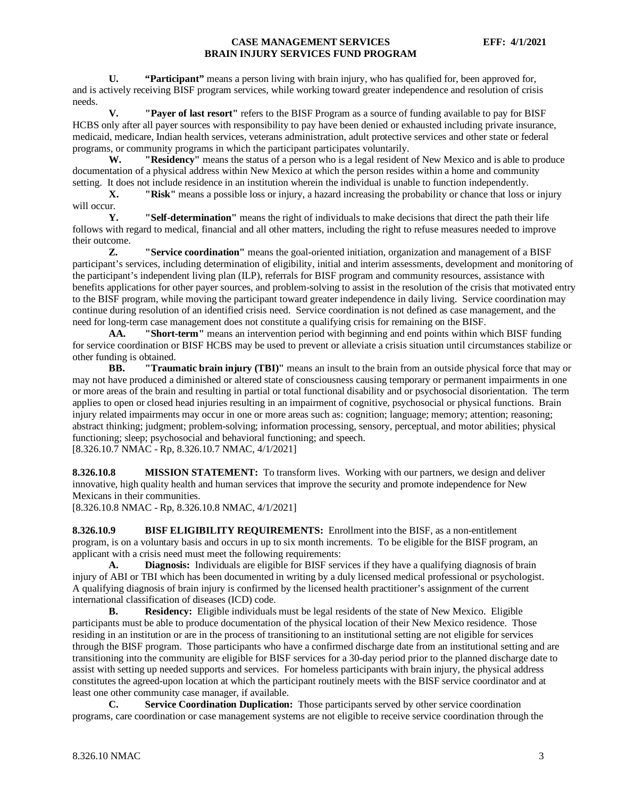**U. "Participant"** means a person living with brain injury, who has qualified for, been approved for, and is actively receiving BISF program services, while working toward greater independence and resolution of crisis needs.

**V. "Payer of last resort"** refers to the BISF Program as a source of funding available to pay for BISF HCBS only after all payer sources with responsibility to pay have been denied or exhausted including private insurance, medicaid, medicare, Indian health services, veterans administration, adult protective services and other state or federal programs, or community programs in which the participant participates voluntarily.

**W. "Residency"** means the status of a person who is a legal resident of New Mexico and is able to produce documentation of a physical address within New Mexico at which the person resides within a home and community setting. It does not include residence in an institution wherein the individual is unable to function independently.

**X. "Risk"** means a possible loss or injury, a hazard increasing the probability or chance that loss or injury will occur.<br>Y.

**Y. "Self-determination"** means the right of individuals to make decisions that direct the path their life follows with regard to medical, financial and all other matters, including the right to refuse measures needed to improve their outcome.

**Z. "Service coordination"** means the goal-oriented initiation, organization and management of a BISF participant's services, including determination of eligibility, initial and interim assessments, development and monitoring of the participant's independent living plan (ILP), referrals for BISF program and community resources, assistance with benefits applications for other payer sources, and problem-solving to assist in the resolution of the crisis that motivated entry to the BISF program, while moving the participant toward greater independence in daily living. Service coordination may continue during resolution of an identified crisis need. Service coordination is not defined as case management, and the need for long-term case management does not constitute a qualifying crisis for remaining on the BISF.

**AA. "Short-term"** means an intervention period with beginning and end points within which BISF funding for service coordination or BISF HCBS may be used to prevent or alleviate a crisis situation until circumstances stabilize or other funding is obtained.<br>**BB.** "Traun

**BB. "Traumatic brain injury (TBI)"** means an insult to the brain from an outside physical force that may or may not have produced a diminished or altered state of consciousness causing temporary or permanent impairments in one or more areas of the brain and resulting in partial or total functional disability and or psychosocial disorientation. The term applies to open or closed head injuries resulting in an impairment of cognitive, psychosocial or physical functions. Brain injury related impairments may occur in one or more areas such as: cognition; language; memory; attention; reasoning; abstract thinking; judgment; problem-solving; information processing, sensory, perceptual, and motor abilities; physical functioning; sleep; psychosocial and behavioral functioning; and speech. [8.326.10.7 NMAC - Rp, 8.326.10.7 NMAC, 4/1/2021]

<span id="page-3-0"></span>**8.326.10.8 MISSION STATEMENT:** To transform lives. Working with our partners, we design and deliver innovative, high quality health and human services that improve the security and promote independence for New Mexicans in their communities.

[8.326.10.8 NMAC - Rp, 8.326.10.8 NMAC, 4/1/2021]

<span id="page-3-1"></span>**8.326.10.9 BISF ELIGIBILITY REQUIREMENTS:** Enrollment into the BISF, as a non-entitlement program, is on a voluntary basis and occurs in up to six month increments. To be eligible for the BISF program, an applicant with a crisis need must meet the following requirements:

**A. Diagnosis:** Individuals are eligible for BISF services if they have a qualifying diagnosis of brain injury of ABI or TBI which has been documented in writing by a duly licensed medical professional or psychologist. A qualifying diagnosis of brain injury is confirmed by the licensed health practitioner's assignment of the current international classification of diseases (ICD) code.

**B. Residency:** Eligible individuals must be legal residents of the state of New Mexico. Eligible participants must be able to produce documentation of the physical location of their New Mexico residence. Those residing in an institution or are in the process of transitioning to an institutional setting are not eligible for services through the BISF program. Those participants who have a confirmed discharge date from an institutional setting and are transitioning into the community are eligible for BISF services for a 30-day period prior to the planned discharge date to assist with setting up needed supports and services. For homeless participants with brain injury, the physical address constitutes the agreed-upon location at which the participant routinely meets with the BISF service coordinator and at least one other community case manager, if available.

**C. Service Coordination Duplication:** Those participants served by other service coordination programs, care coordination or case management systems are not eligible to receive service coordination through the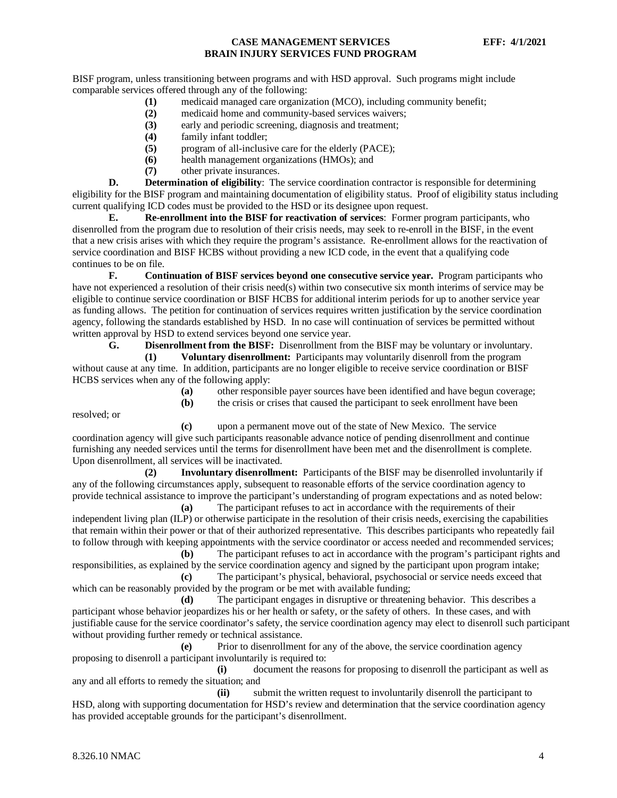BISF program, unless transitioning between programs and with HSD approval. Such programs might include comparable services offered through any of the following:

- **(1)** medicaid managed care organization (MCO), including community benefit;
- **(2)** medicaid home and community-based services waivers;
- **(3)** early and periodic screening, diagnosis and treatment;
- **(4)** family infant toddler;
- **(5)** program of all-inclusive care for the elderly (PACE);
- **(6)** health management organizations (HMOs); and
- **(7)** other private insurances.

**D. Determination of eligibility**: The service coordination contractor is responsible for determining eligibility for the BISF program and maintaining documentation of eligibility status. Proof of eligibility status including current qualifying ICD codes must be provided to the HSD or its designee upon request.

**E. Re-enrollment into the BISF for reactivation of services**: Former program participants, who disenrolled from the program due to resolution of their crisis needs, may seek to re-enroll in the BISF, in the event that a new crisis arises with which they require the program's assistance. Re-enrollment allows for the reactivation of service coordination and BISF HCBS without providing a new ICD code, in the event that a qualifying code continues to be on file.

**F. Continuation of BISF services beyond one consecutive service year.** Program participants who have not experienced a resolution of their crisis need(s) within two consecutive six month interims of service may be eligible to continue service coordination or BISF HCBS for additional interim periods for up to another service year as funding allows. The petition for continuation of services requires written justification by the service coordination agency, following the standards established by HSD. In no case will continuation of services be permitted without written approval by HSD to extend services beyond one service year.

**G. Disenrollment from the BISF:** Disenrollment from the BISF may be voluntary or involuntary.

**(1) Voluntary disenrollment:** Participants may voluntarily disenroll from the program without cause at any time. In addition, participants are no longer eligible to receive service coordination or BISF HCBS services when any of the following apply:

- **(a)** other responsible payer sources have been identified and have begun coverage;
- **(b)** the crisis or crises that caused the participant to seek enrollment have been

resolved; or

**(c)** upon a permanent move out of the state of New Mexico. The service coordination agency will give such participants reasonable advance notice of pending disenrollment and continue furnishing any needed services until the terms for disenrollment have been met and the disenrollment is complete. Upon disenrollment, all services will be inactivated.

**(2) Involuntary disenrollment:** Participants of the BISF may be disenrolled involuntarily if any of the following circumstances apply, subsequent to reasonable efforts of the service coordination agency to provide technical assistance to improve the participant's understanding of program expectations and as noted below:

**(a)** The participant refuses to act in accordance with the requirements of their independent living plan (ILP) or otherwise participate in the resolution of their crisis needs, exercising the capabilities that remain within their power or that of their authorized representative. This describes participants who repeatedly fail to follow through with keeping appointments with the service coordinator or access needed and recommended services;

**(b)** The participant refuses to act in accordance with the program's participant rights and responsibilities, as explained by the service coordination agency and signed by the participant upon program intake; **(c)** The participant's physical, behavioral, psychosocial or service needs exceed that

which can be reasonably provided by the program or be met with available funding; **(d)** The participant engages in disruptive or threatening behavior. This describes a

participant whose behavior jeopardizes his or her health or safety, or the safety of others. In these cases, and with justifiable cause for the service coordinator's safety, the service coordination agency may elect to disenroll such participant without providing further remedy or technical assistance.

**(e)** Prior to disenrollment for any of the above, the service coordination agency proposing to disenroll a participant involuntarily is required to:

**(i)** document the reasons for proposing to disenroll the participant as well as any and all efforts to remedy the situation; and

**(ii)** submit the written request to involuntarily disenroll the participant to HSD, along with supporting documentation for HSD's review and determination that the service coordination agency has provided acceptable grounds for the participant's disenrollment.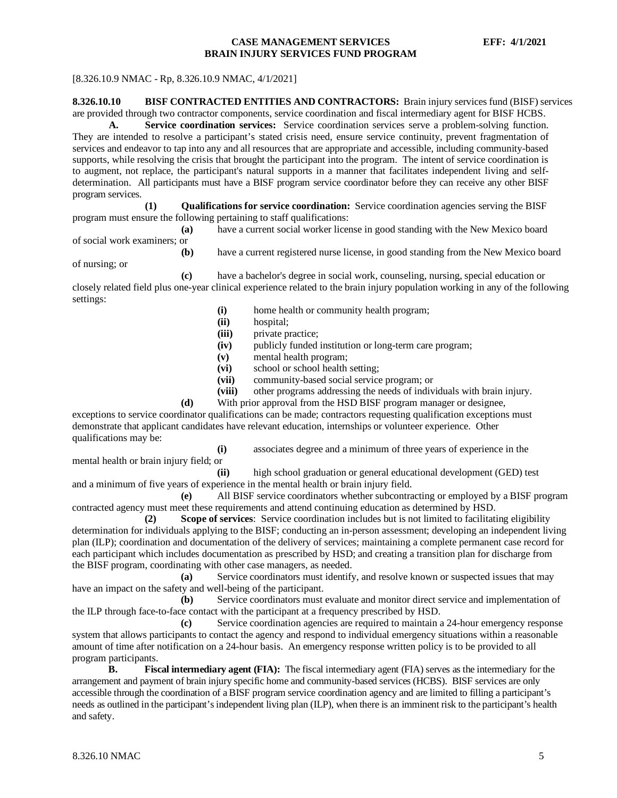#### [8.326.10.9 NMAC - Rp, 8.326.10.9 NMAC, 4/1/2021]

# <span id="page-5-0"></span>**8.326.10.10 BISF CONTRACTED ENTITIES AND CONTRACTORS:** Brain injury services fund (BISF) services

are provided through two contractor components, service coordination and fiscal intermediary agent for BISF HCBS.

**A. Service coordination services:** Service coordination services serve a problem-solving function. They are intended to resolve a participant's stated crisis need, ensure service continuity, prevent fragmentation of services and endeavor to tap into any and all resources that are appropriate and accessible, including community-based supports, while resolving the crisis that brought the participant into the program. The intent of service coordination is to augment, not replace, the participant's natural supports in a manner that facilitates independent living and selfdetermination. All participants must have a BISF program service coordinator before they can receive any other BISF program services.

**(1) Qualifications for service coordination:** Service coordination agencies serving the BISF program must ensure the following pertaining to staff qualifications:

**(a)** have a current social worker license in good standing with the New Mexico board of social work examiners; or

**(b)** have a current registered nurse license, in good standing from the New Mexico board

of nursing; or

mental health or brain injury field; or

settings:

- **(c)** have a bachelor's degree in social work, counseling, nursing, special education or closely related field plus one-year clinical experience related to the brain injury population working in any of the following
	- **(i)** home health or community health program;
	- **(ii)** hospital;
	- **(iii)** private practice;
	- **(iv)** publicly funded institution or long-term care program;
	- **(v)** mental health program;
	- **(vi)** school or school health setting;
	- **(vii)** community-based social service program; or
	- **(viii)** other programs addressing the needs of individuals with brain injury.
	- **(d)** With prior approval from the HSD BISF program manager or designee,

exceptions to service coordinator qualifications can be made; contractors requesting qualification exceptions must demonstrate that applicant candidates have relevant education, internships or volunteer experience. Other qualifications may be:

**(i)** associates degree and a minimum of three years of experience in the

**(ii)** high school graduation or general educational development (GED) test and a minimum of five years of experience in the mental health or brain injury field.

**(e)** All BISF service coordinators whether subcontracting or employed by a BISF program contracted agency must meet these requirements and attend continuing education as determined by HSD.

**(2) Scope of services**: Service coordination includes but is not limited to facilitating eligibility determination for individuals applying to the BISF; conducting an in-person assessment; developing an independent living plan (ILP); coordination and documentation of the delivery of services; maintaining a complete permanent case record for each participant which includes documentation as prescribed by HSD; and creating a transition plan for discharge from the BISF program, coordinating with other case managers, as needed.

**(a)** Service coordinators must identify, and resolve known or suspected issues that may have an impact on the safety and well-being of the participant.

**(b)** Service coordinators must evaluate and monitor direct service and implementation of the ILP through face-to-face contact with the participant at a frequency prescribed by HSD.

**(c)** Service coordination agencies are required to maintain a 24-hour emergency response system that allows participants to contact the agency and respond to individual emergency situations within a reasonable amount of time after notification on a 24-hour basis. An emergency response written policy is to be provided to all program participants.

**B. Fiscal intermediary agent (FIA):** The fiscal intermediary agent (FIA) serves as the intermediary for the arrangement and payment of brain injury specific home and community-based services (HCBS). BISF services are only accessible through the coordination of a BISF program service coordination agency and are limited to filling a participant's needs as outlined in the participant's independent living plan (ILP), when there is an imminent risk to the participant's health and safety.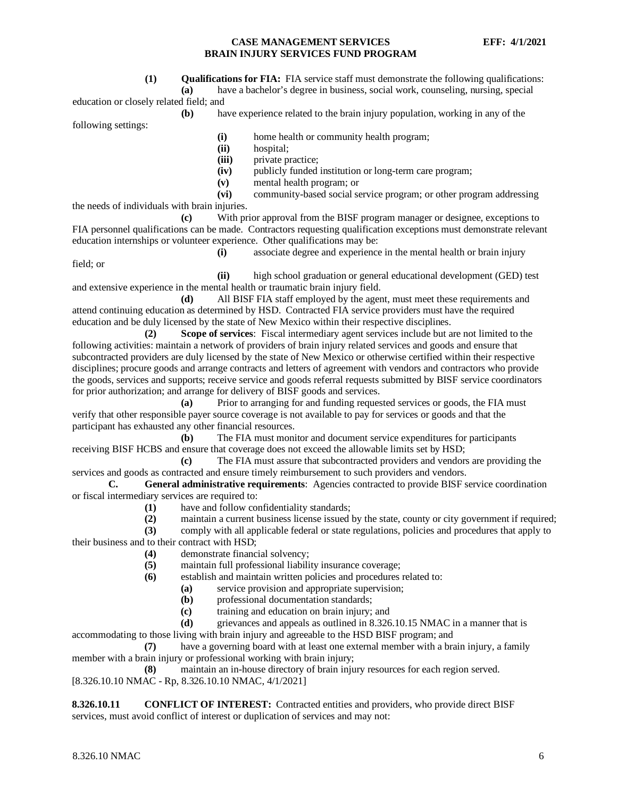**(1) Qualifications for FIA:** FIA service staff must demonstrate the following qualifications:

**(a)** have a bachelor's degree in business, social work, counseling, nursing, special education or closely related field; and

**(b)** have experience related to the brain injury population, working in any of the

following settings:

**(i)** home health or community health program;

- **(ii)** hospital;
- (iii) private practice;<br>(iv) publicly funded
- publicly funded institution or long-term care program;
- **(v)** mental health program; or

**(vi)** community-based social service program; or other program addressing the needs of individuals with brain injuries.

**(c)** With prior approval from the BISF program manager or designee, exceptions to FIA personnel qualifications can be made. Contractors requesting qualification exceptions must demonstrate relevant education internships or volunteer experience. Other qualifications may be:

field; or

**(i)** associate degree and experience in the mental health or brain injury

**(ii)** high school graduation or general educational development (GED) test and extensive experience in the mental health or traumatic brain injury field.

**(d)** All BISF FIA staff employed by the agent, must meet these requirements and attend continuing education as determined by HSD. Contracted FIA service providers must have the required education and be duly licensed by the state of New Mexico within their respective disciplines.

**(2) Scope of services**: Fiscal intermediary agent services include but are not limited to the following activities: maintain a network of providers of brain injury related services and goods and ensure that subcontracted providers are duly licensed by the state of New Mexico or otherwise certified within their respective disciplines; procure goods and arrange contracts and letters of agreement with vendors and contractors who provide the goods, services and supports; receive service and goods referral requests submitted by BISF service coordinators for prior authorization; and arrange for delivery of BISF goods and services.

**(a)** Prior to arranging for and funding requested services or goods, the FIA must verify that other responsible payer source coverage is not available to pay for services or goods and that the participant has exhausted any other financial resources.

**(b)** The FIA must monitor and document service expenditures for participants receiving BISF HCBS and ensure that coverage does not exceed the allowable limits set by HSD;

**(c)** The FIA must assure that subcontracted providers and vendors are providing the services and goods as contracted and ensure timely reimbursement to such providers and vendors.

**C. General administrative requirements**: Agencies contracted to provide BISF service coordination or fiscal intermediary services are required to:

**(1)** have and follow confidentiality standards;

**(2)** maintain a current business license issued by the state, county or city government if required;

**(3)** comply with all applicable federal or state regulations, policies and procedures that apply to their business and to their contract with HSD;

- **(4)** demonstrate financial solvency;
- **(5)** maintain full professional liability insurance coverage;
- **(6)** establish and maintain written policies and procedures related to:
	- **(a)** service provision and appropriate supervision;<br>**(b)** professional documentation standards;
	- **(b)** professional documentation standards;
	- **(c)** training and education on brain injury; and

**(d)** grievances and appeals as outlined in 8.326.10.15 NMAC in a manner that is

accommodating to those living with brain injury and agreeable to the HSD BISF program; and

**(7)** have a governing board with at least one external member with a brain injury, a family member with a brain injury or professional working with brain injury;

**(8)** maintain an in-house directory of brain injury resources for each region served. [8.326.10.10 NMAC - Rp, 8.326.10.10 NMAC, 4/1/2021]

<span id="page-6-0"></span>**8.326.10.11 CONFLICT OF INTEREST:** Contracted entities and providers, who provide direct BISF services, must avoid conflict of interest or duplication of services and may not: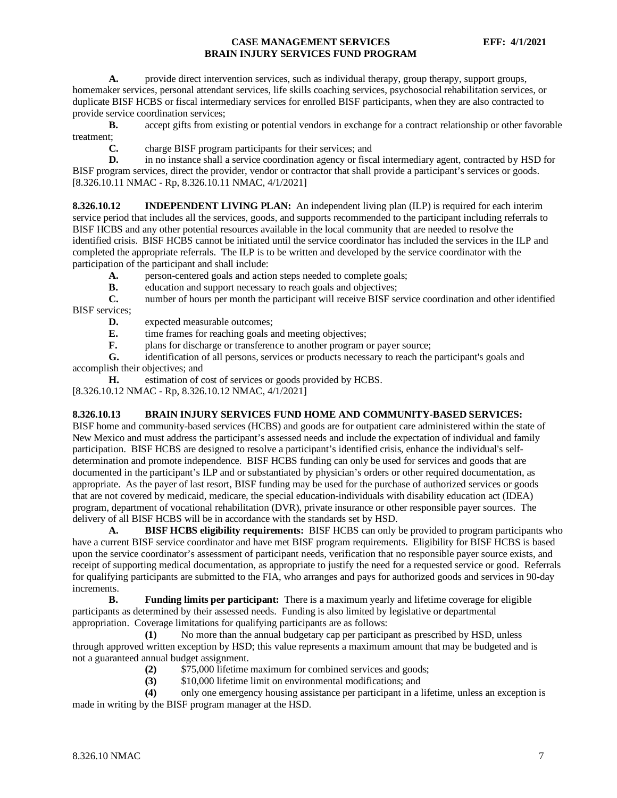A. provide direct intervention services, such as individual therapy, group therapy, support groups, homemaker services, personal attendant services, life skills coaching services, psychosocial rehabilitation services, or duplicate BISF HCBS or fiscal intermediary services for enrolled BISF participants, when they are also contracted to provide service coordination services;

**B.** accept gifts from existing or potential vendors in exchange for a contract relationship or other favorable treatment;

**C.** charge BISF program participants for their services; and

**D.** in no instance shall a service coordination agency or fiscal intermediary agent, contracted by HSD for BISF program services, direct the provider, vendor or contractor that shall provide a participant's services or goods. [8.326.10.11 NMAC - Rp, 8.326.10.11 NMAC, 4/1/2021]

<span id="page-7-0"></span>**8.326.10.12 INDEPENDENT LIVING PLAN:** An independent living plan (ILP) is required for each interim service period that includes all the services, goods, and supports recommended to the participant including referrals to BISF HCBS and any other potential resources available in the local community that are needed to resolve the identified crisis. BISF HCBS cannot be initiated until the service coordinator has included the services in the ILP and completed the appropriate referrals. The ILP is to be written and developed by the service coordinator with the participation of the participant and shall include:

- A. person-centered goals and action steps needed to complete goals;
- **B.** education and support necessary to reach goals and objectives;<br> **C.** number of hours per month the participant will receive BISF se

**C.** number of hours per month the participant will receive BISF service coordination and other identified BISF services;

- **D.** expected measurable outcomes;
- **E.** time frames for reaching goals and meeting objectives;<br>**F.** plans for discharge or transference to another program
- plans for discharge or transference to another program or payer source;

**G.** identification of all persons, services or products necessary to reach the participant's goals and accomplish their objectives; and

**H.** estimation of cost of services or goods provided by HCBS.

[8.326.10.12 NMAC - Rp, 8.326.10.12 NMAC, 4/1/2021]

#### <span id="page-7-1"></span>**8.326.10.13 BRAIN INJURY SERVICES FUND HOME AND COMMUNITY-BASED SERVICES:**

BISF home and community-based services (HCBS) and goods are for outpatient care administered within the state of New Mexico and must address the participant's assessed needs and include the expectation of individual and family participation. BISF HCBS are designed to resolve a participant's identified crisis, enhance the individual's selfdetermination and promote independence. BISF HCBS funding can only be used for services and goods that are documented in the participant's ILP and or substantiated by physician's orders or other required documentation, as appropriate. As the payer of last resort, BISF funding may be used for the purchase of authorized services or goods that are not covered by medicaid, medicare, the special education-individuals with disability education act (IDEA) program, department of vocational rehabilitation (DVR), private insurance or other responsible payer sources. The delivery of all BISF HCBS will be in accordance with the standards set by HSD.

**A. BISF HCBS eligibility requirements:** BISF HCBS can only be provided to program participants who have a current BISF service coordinator and have met BISF program requirements. Eligibility for BISF HCBS is based upon the service coordinator's assessment of participant needs, verification that no responsible payer source exists, and receipt of supporting medical documentation, as appropriate to justify the need for a requested service or good. Referrals for qualifying participants are submitted to the FIA, who arranges and pays for authorized goods and services in 90-day increments.<br>**B**.

**B. Funding limits per participant:** There is a maximum yearly and lifetime coverage for eligible participants as determined by their assessed needs. Funding is also limited by legislative or departmental appropriation. Coverage limitations for qualifying participants are as follows:

**(1)** No more than the annual budgetary cap per participant as prescribed by HSD, unless through approved written exception by HSD; this value represents a maximum amount that may be budgeted and is not a guaranteed annual budget assignment.

- **(2)** \$75,000 lifetime maximum for combined services and goods;
- **(3)** \$10,000 lifetime limit on environmental modifications; and

**(4)** only one emergency housing assistance per participant in a lifetime, unless an exception is made in writing by the BISF program manager at the HSD.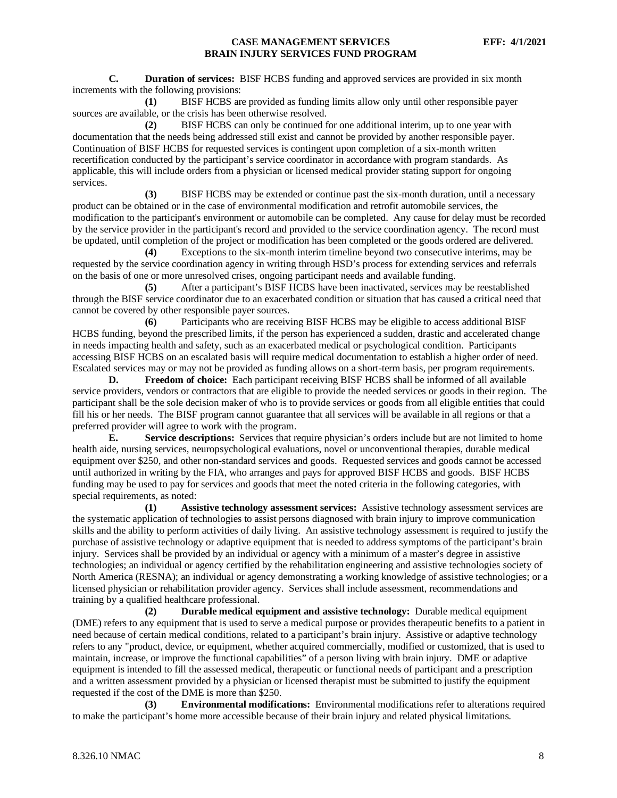**C. Duration of services:** BISF HCBS funding and approved services are provided in six month increments with the following provisions:

**(1)** BISF HCBS are provided as funding limits allow only until other responsible payer sources are available, or the crisis has been otherwise resolved.

**(2)** BISF HCBS can only be continued for one additional interim, up to one year with documentation that the needs being addressed still exist and cannot be provided by another responsible payer. Continuation of BISF HCBS for requested services is contingent upon completion of a six-month written recertification conducted by the participant's service coordinator in accordance with program standards. As applicable, this will include orders from a physician or licensed medical provider stating support for ongoing services.

**(3)** BISF HCBS may be extended or continue past the six-month duration, until a necessary product can be obtained or in the case of environmental modification and retrofit automobile services, the modification to the participant's environment or automobile can be completed. Any cause for delay must be recorded by the service provider in the participant's record and provided to the service coordination agency. The record must be updated, until completion of the project or modification has been completed or the goods ordered are delivered.

**(4)** Exceptions to the six-month interim timeline beyond two consecutive interims, may be requested by the service coordination agency in writing through HSD's process for extending services and referrals on the basis of one or more unresolved crises, ongoing participant needs and available funding.

**(5)** After a participant's BISF HCBS have been inactivated, services may be reestablished through the BISF service coordinator due to an exacerbated condition or situation that has caused a critical need that cannot be covered by other responsible payer sources.

**(6)** Participants who are receiving BISF HCBS may be eligible to access additional BISF HCBS funding, beyond the prescribed limits, if the person has experienced a sudden, drastic and accelerated change in needs impacting health and safety, such as an exacerbated medical or psychological condition. Participants accessing BISF HCBS on an escalated basis will require medical documentation to establish a higher order of need. Escalated services may or may not be provided as funding allows on a short-term basis, per program requirements.

**D. Freedom of choice:** Each participant receiving BISF HCBS shall be informed of all available service providers, vendors or contractors that are eligible to provide the needed services or goods in their region. The participant shall be the sole decision maker of who is to provide services or goods from all eligible entities that could fill his or her needs. The BISF program cannot guarantee that all services will be available in all regions or that a preferred provider will agree to work with the program.

**E. Service descriptions:** Services that require physician's orders include but are not limited to home health aide, nursing services, neuropsychological evaluations, novel or unconventional therapies, durable medical equipment over \$250, and other non-standard services and goods. Requested services and goods cannot be accessed until authorized in writing by the FIA, who arranges and pays for approved BISF HCBS and goods. BISF HCBS funding may be used to pay for services and goods that meet the noted criteria in the following categories, with special requirements, as noted:

**(1) Assistive technology assessment services:** Assistive technology assessment services are the systematic application of technologies to assist persons diagnosed with brain injury to improve communication skills and the ability to perform activities of daily living. An assistive technology assessment is required to justify the purchase of assistive technology or adaptive equipment that is needed to address symptoms of the participant's brain injury. Services shall be provided by an individual or agency with a minimum of a master's degree in assistive technologies; an individual or agency certified by the rehabilitation engineering and assistive technologies society of North America (RESNA); an individual or agency demonstrating a working knowledge of assistive technologies; or a licensed physician or rehabilitation provider agency. Services shall include assessment, recommendations and training by a qualified healthcare professional.

**(2) Durable medical equipment and assistive technology:** Durable medical equipment (DME) refers to any equipment that is used to serve a medical purpose or provides therapeutic benefits to a patient in need because of certain medical conditions, related to a participant's brain injury. Assistive or adaptive technology refers to any "product, device, or equipment, whether acquired commercially, modified or customized, that is used to maintain, increase, or improve the functional capabilities" of a person living with brain injury. DME or adaptive equipment is intended to fill the assessed medical, therapeutic or functional needs of participant and a prescription and a written assessment provided by a physician or licensed therapist must be submitted to justify the equipment requested if the cost of the DME is more than \$250.

**(3) Environmental modifications:** Environmental modifications refer to alterations required to make the participant's home more accessible because of their brain injury and related physical limitations.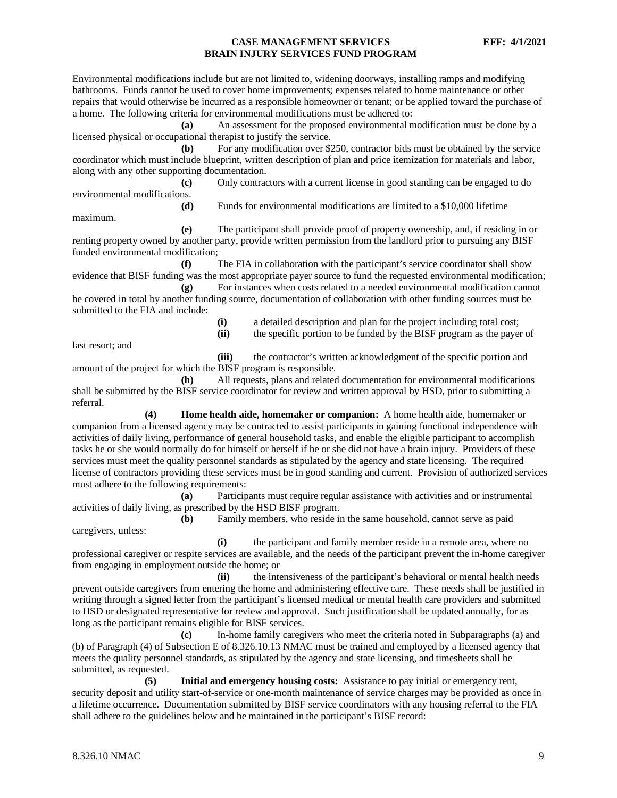Environmental modifications include but are not limited to, widening doorways, installing ramps and modifying bathrooms. Funds cannot be used to cover home improvements; expenses related to home maintenance or other repairs that would otherwise be incurred as a responsible homeowner or tenant; or be applied toward the purchase of a home. The following criteria for environmental modifications must be adhered to:

**(a)** An assessment for the proposed environmental modification must be done by a licensed physical or occupational therapist to justify the service.

**(b)** For any modification over \$250, contractor bids must be obtained by the service coordinator which must include blueprint, written description of plan and price itemization for materials and labor, along with any other supporting documentation.

**(c)** Only contractors with a current license in good standing can be engaged to do environmental modifications.

**(d)** Funds for environmental modifications are limited to a \$10,000 lifetime

maximum.

**(e)** The participant shall provide proof of property ownership, and, if residing in or renting property owned by another party, provide written permission from the landlord prior to pursuing any BISF funded environmental modification;

**(f)** The FIA in collaboration with the participant's service coordinator shall show evidence that BISF funding was the most appropriate payer source to fund the requested environmental modification;

**(g)** For instances when costs related to a needed environmental modification cannot be covered in total by another funding source, documentation of collaboration with other funding sources must be submitted to the FIA and include:

> **(i)** a detailed description and plan for the project including total cost; **(ii)** the specific portion to be funded by the BISF program as the payer of

last resort; and

**(iii)** the contractor's written acknowledgment of the specific portion and amount of the project for which the BISF program is responsible.

**(h)** All requests, plans and related documentation for environmental modifications shall be submitted by the BISF service coordinator for review and written approval by HSD, prior to submitting a referral.

**(4) Home health aide, homemaker or companion:** A home health aide, homemaker or companion from a licensed agency may be contracted to assist participants in gaining functional independence with activities of daily living, performance of general household tasks, and enable the eligible participant to accomplish tasks he or she would normally do for himself or herself if he or she did not have a brain injury. Providers of these services must meet the quality personnel standards as stipulated by the agency and state licensing. The required license of contractors providing these services must be in good standing and current. Provision of authorized services must adhere to the following requirements:

**(a)** Participants must require regular assistance with activities and or instrumental activities of daily living, as prescribed by the HSD BISF program.

**(b)** Family members, who reside in the same household, cannot serve as paid caregivers, unless:

**(i)** the participant and family member reside in a remote area, where no professional caregiver or respite services are available, and the needs of the participant prevent the in-home caregiver from engaging in employment outside the home; or

**(ii)** the intensiveness of the participant's behavioral or mental health needs prevent outside caregivers from entering the home and administering effective care. These needs shall be justified in writing through a signed letter from the participant's licensed medical or mental health care providers and submitted to HSD or designated representative for review and approval. Such justification shall be updated annually, for as long as the participant remains eligible for BISF services.

**(c)** In-home family caregivers who meet the criteria noted in Subparagraphs (a) and (b) of Paragraph (4) of Subsection E of 8.326.10.13 NMAC must be trained and employed by a licensed agency that meets the quality personnel standards, as stipulated by the agency and state licensing, and timesheets shall be submitted, as requested.

**(5) Initial and emergency housing costs:** Assistance to pay initial or emergency rent, security deposit and utility start-of-service or one-month maintenance of service charges may be provided as once in a lifetime occurrence. Documentation submitted by BISF service coordinators with any housing referral to the FIA shall adhere to the guidelines below and be maintained in the participant's BISF record: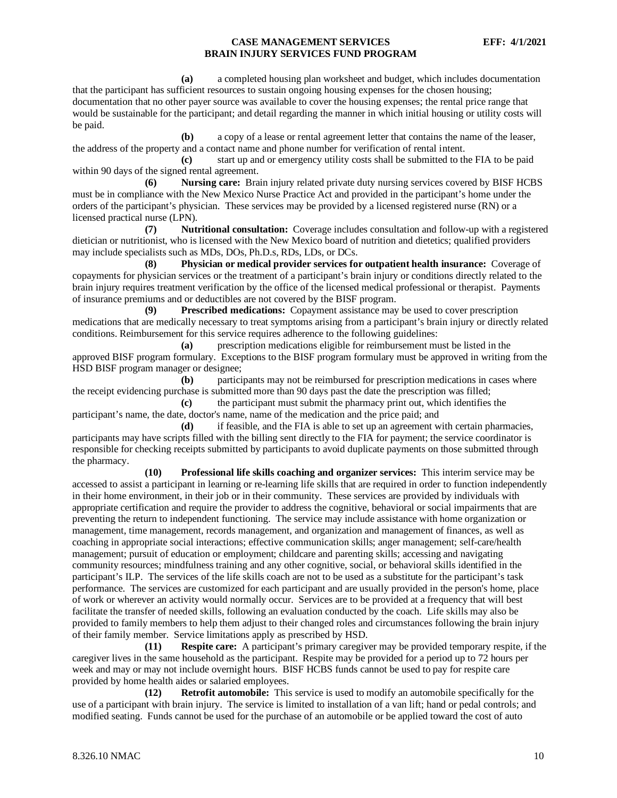**(a)** a completed housing plan worksheet and budget, which includes documentation that the participant has sufficient resources to sustain ongoing housing expenses for the chosen housing; documentation that no other payer source was available to cover the housing expenses; the rental price range that would be sustainable for the participant; and detail regarding the manner in which initial housing or utility costs will be paid.

**(b)** a copy of a lease or rental agreement letter that contains the name of the leaser, the address of the property and a contact name and phone number for verification of rental intent.

**(c)** start up and or emergency utility costs shall be submitted to the FIA to be paid within 90 days of the signed rental agreement.

**(6) Nursing care:** Brain injury related private duty nursing services covered by BISF HCBS must be in compliance with the New Mexico Nurse Practice Act and provided in the participant's home under the orders of the participant's physician. These services may be provided by a licensed registered nurse (RN) or a licensed practical nurse (LPN).

**(7) Nutritional consultation:** Coverage includes consultation and follow-up with a registered dietician or nutritionist, who is licensed with the New Mexico board of nutrition and dietetics; qualified providers may include specialists such as MDs, DOs, Ph.D.s, RDs, LDs, or DCs.

**(8) Physician or medical provider services for outpatient health insurance:** Coverage of copayments for physician services or the treatment of a participant's brain injury or conditions directly related to the brain injury requires treatment verification by the office of the licensed medical professional or therapist. Payments of insurance premiums and or deductibles are not covered by the BISF program.

**(9) Prescribed medications:** Copayment assistance may be used to cover prescription medications that are medically necessary to treat symptoms arising from a participant's brain injury or directly related conditions. Reimbursement for this service requires adherence to the following guidelines:

**(a)** prescription medications eligible for reimbursement must be listed in the approved BISF program formulary. Exceptions to the BISF program formulary must be approved in writing from the HSD BISF program manager or designee;

**(b)** participants may not be reimbursed for prescription medications in cases where the receipt evidencing purchase is submitted more than 90 days past the date the prescription was filled;

**(c)** the participant must submit the pharmacy print out, which identifies the participant's name, the date, doctor's name, name of the medication and the price paid; and

**(d)** if feasible, and the FIA is able to set up an agreement with certain pharmacies, participants may have scripts filled with the billing sent directly to the FIA for payment; the service coordinator is responsible for checking receipts submitted by participants to avoid duplicate payments on those submitted through the pharmacy.

**(10) Professional life skills coaching and organizer services:** This interim service may be accessed to assist a participant in learning or re-learning life skills that are required in order to function independently in their home environment, in their job or in their community. These services are provided by individuals with appropriate certification and require the provider to address the cognitive, behavioral or social impairments that are preventing the return to independent functioning. The service may include assistance with home organization or management, time management, records management, and organization and management of finances, as well as coaching in appropriate social interactions; effective communication skills; anger management; self-care/health management; pursuit of education or employment; childcare and parenting skills; accessing and navigating community resources; mindfulness training and any other cognitive, social, or behavioral skills identified in the participant's ILP. The services of the life skills coach are not to be used as a substitute for the participant's task performance. The services are customized for each participant and are usually provided in the person's home, place of work or wherever an activity would normally occur. Services are to be provided at a frequency that will best facilitate the transfer of needed skills, following an evaluation conducted by the coach. Life skills may also be provided to family members to help them adjust to their changed roles and circumstances following the brain injury of their family member. Service limitations apply as prescribed by HSD.

**(11) Respite care:** A participant's primary caregiver may be provided temporary respite, if the caregiver lives in the same household as the participant. Respite may be provided for a period up to 72 hours per week and may or may not include overnight hours. BISF HCBS funds cannot be used to pay for respite care provided by home health aides or salaried employees.

**(12) Retrofit automobile:** This service is used to modify an automobile specifically for the use of a participant with brain injury. The service is limited to installation of a van lift; hand or pedal controls; and modified seating. Funds cannot be used for the purchase of an automobile or be applied toward the cost of auto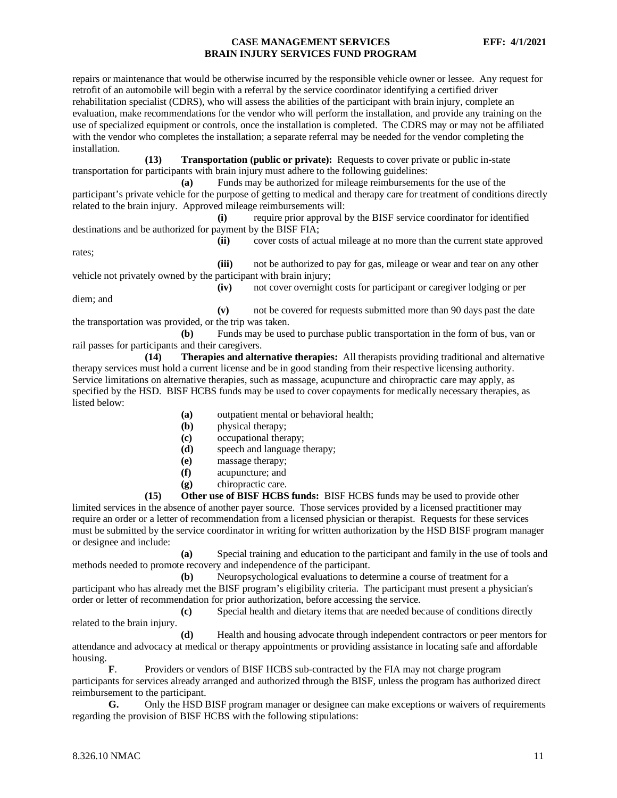repairs or maintenance that would be otherwise incurred by the responsible vehicle owner or lessee. Any request for retrofit of an automobile will begin with a referral by the service coordinator identifying a certified driver rehabilitation specialist (CDRS), who will assess the abilities of the participant with brain injury, complete an evaluation, make recommendations for the vendor who will perform the installation, and provide any training on the use of specialized equipment or controls, once the installation is completed. The CDRS may or may not be affiliated with the vendor who completes the installation; a separate referral may be needed for the vendor completing the installation.

**(13) Transportation (public or private):** Requests to cover private or public in-state transportation for participants with brain injury must adhere to the following guidelines:

**(a)** Funds may be authorized for mileage reimbursements for the use of the participant's private vehicle for the purpose of getting to medical and therapy care for treatment of conditions directly related to the brain injury. Approved mileage reimbursements will:

**(i)** require prior approval by the BISF service coordinator for identified destinations and be authorized for payment by the BISF FIA;

**(ii)** cover costs of actual mileage at no more than the current state approved

**(iii)** not be authorized to pay for gas, mileage or wear and tear on any other vehicle not privately owned by the participant with brain injury;

diem; and

rates;

**(iv)** not cover overnight costs for participant or caregiver lodging or per

**(v)** not be covered for requests submitted more than 90 days past the date the transportation was provided, or the trip was taken.

**(b)** Funds may be used to purchase public transportation in the form of bus, van or rail passes for participants and their caregivers.

**(14) Therapies and alternative therapies:** All therapists providing traditional and alternative therapy services must hold a current license and be in good standing from their respective licensing authority. Service limitations on alternative therapies, such as massage, acupuncture and chiropractic care may apply, as specified by the HSD. BISF HCBS funds may be used to cover copayments for medically necessary therapies, as listed below:

- **(a)** outpatient mental or behavioral health;
- **(b)** physical therapy;
- **(c)** occupational therapy;
- **(d)** speech and language therapy;
- **(e)** massage therapy;
- **(f)** acupuncture; and
- **(g)** chiropractic care.

**(15) Other use of BISF HCBS funds:** BISF HCBS funds may be used to provide other limited services in the absence of another payer source. Those services provided by a licensed practitioner may require an order or a letter of recommendation from a licensed physician or therapist. Requests for these services must be submitted by the service coordinator in writing for written authorization by the HSD BISF program manager or designee and include:

**(a)** Special training and education to the participant and family in the use of tools and methods needed to promote recovery and independence of the participant.

**(b)** Neuropsychological evaluations to determine a course of treatment for a participant who has already met the BISF program's eligibility criteria. The participant must present a physician's order or letter of recommendation for prior authorization, before accessing the service.

**(c)** Special health and dietary items that are needed because of conditions directly related to the brain injury.

**(d)** Health and housing advocate through independent contractors or peer mentors for attendance and advocacy at medical or therapy appointments or providing assistance in locating safe and affordable housing.

**F**. Providers or vendors of BISF HCBS sub-contracted by the FIA may not charge program participants for services already arranged and authorized through the BISF, unless the program has authorized direct reimbursement to the participant.

**G.** Only the HSD BISF program manager or designee can make exceptions or waivers of requirements regarding the provision of BISF HCBS with the following stipulations: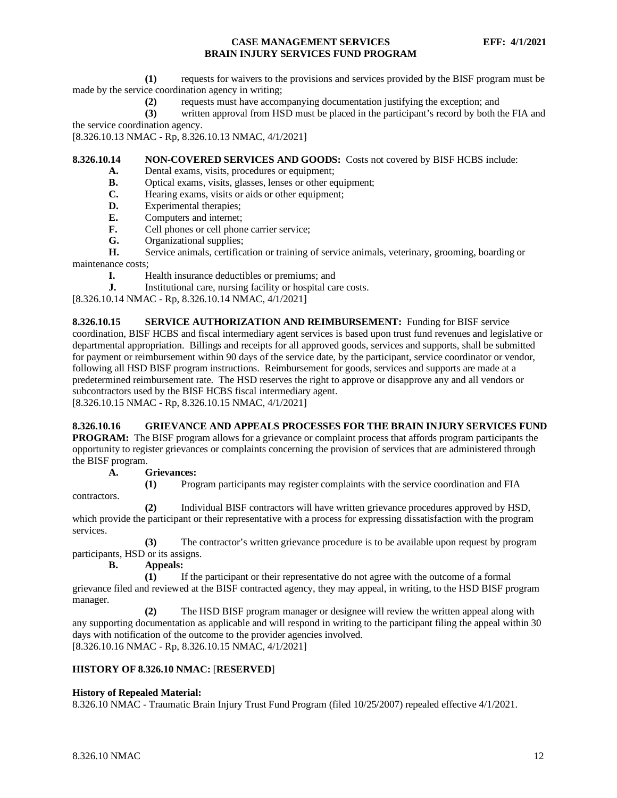**(1)** requests for waivers to the provisions and services provided by the BISF program must be made by the service coordination agency in writing;

**(2)** requests must have accompanying documentation justifying the exception; and

**(3)** written approval from HSD must be placed in the participant's record by both the FIA and the service coordination agency.

[8.326.10.13 NMAC - Rp, 8.326.10.13 NMAC, 4/1/2021]

#### <span id="page-12-0"></span>**8.326.10.14 NON-COVERED SERVICES AND GOODS:** Costs not covered by BISF HCBS include:

- **A.** Dental exams, visits, procedures or equipment;<br>**R.** Optical exams, visits, glasses, lenses or other equipment.
- **B.** Optical exams, visits, glasses, lenses or other equipment;
- **C.** Hearing exams, visits or aids or other equipment;
- **D.** Experimental therapies;<br>**E.** Computers and internet:
- **E.** Computers and internet;
- **F.** Cell phones or cell phone carrier service;
- **G.** Organizational supplies;

**H.** Service animals, certification or training of service animals, veterinary, grooming, boarding or maintenance costs;

**I.** Health insurance deductibles or premiums; and

**J.** Institutional care, nursing facility or hospital care costs.

[8.326.10.14 NMAC - Rp, 8.326.10.14 NMAC, 4/1/2021]

<span id="page-12-1"></span>**8.326.10.15 SERVICE AUTHORIZATION AND REIMBURSEMENT:** Funding for BISF service coordination, BISF HCBS and fiscal intermediary agent services is based upon trust fund revenues and legislative or departmental appropriation. Billings and receipts for all approved goods, services and supports, shall be submitted for payment or reimbursement within 90 days of the service date, by the participant, service coordinator or vendor, following all HSD BISF program instructions. Reimbursement for goods, services and supports are made at a predetermined reimbursement rate. The HSD reserves the right to approve or disapprove any and all vendors or subcontractors used by the BISF HCBS fiscal intermediary agent.

[8.326.10.15 NMAC - Rp, 8.326.10.15 NMAC, 4/1/2021]

# <span id="page-12-2"></span>**8.326.10.16 GRIEVANCE AND APPEALS PROCESSES FOR THE BRAIN INJURY SERVICES FUND**

**PROGRAM:** The BISF program allows for a grievance or complaint process that affords program participants the opportunity to register grievances or complaints concerning the provision of services that are administered through the BISF program.

#### **A. Grievances:**

**(1)** Program participants may register complaints with the service coordination and FIA

contractors.

**(2)** Individual BISF contractors will have written grievance procedures approved by HSD, which provide the participant or their representative with a process for expressing dissatisfaction with the program services.

**(3)** The contractor's written grievance procedure is to be available upon request by program participants, HSD or its assigns.

**B. Appeals:**

**(1)** If the participant or their representative do not agree with the outcome of a formal grievance filed and reviewed at the BISF contracted agency, they may appeal, in writing, to the HSD BISF program manager.

**(2)** The HSD BISF program manager or designee will review the written appeal along with any supporting documentation as applicable and will respond in writing to the participant filing the appeal within 30 days with notification of the outcome to the provider agencies involved. [8.326.10.16 NMAC - Rp, 8.326.10.15 NMAC, 4/1/2021]

# **HISTORY OF 8.326.10 NMAC:** [**RESERVED**]

# **History of Repealed Material:**

8.326.10 NMAC - Traumatic Brain Injury Trust Fund Program (filed 10/25/2007) repealed effective 4/1/2021.